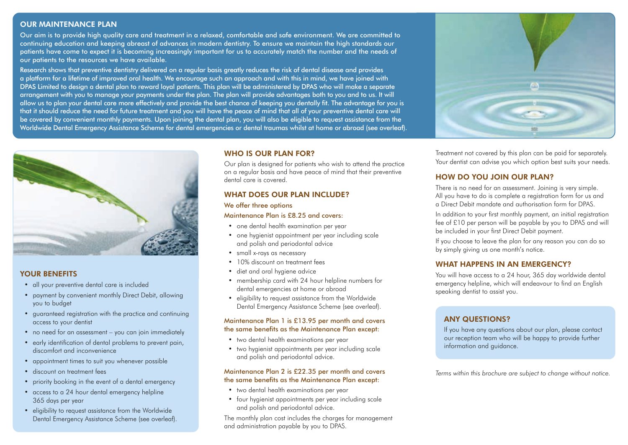## OUR MAINTENANCE PLAN

Our aim is to provide high quality care and treatment in a relaxed, comfortable and safe environment. We are committed to continuing education and keeping abreast of advances in modern dentistry. To ensure we maintain the high standards our patients have come to expect it is becoming increasingly important for us to accurately match the number and the needs of our patients to the resources we have available.

Research shows that preventive dentistry delivered on a regular basis greatly reduces the risk of dental disease and provides a platform for a lifetime of improved oral health. We encourage such an approach and with this in mind, we have joined with DPAS Limited to design a dental plan to reward loyal patients. This plan will be administered by DPAS who will make a separate arrangement with you to manage your payments under the plan. The plan will provide advantages both to you and to us. It will allow us to plan your dental care more effectively and provide the best chance of keeping you dentally fit. The advantage for you is that it should reduce the need for future treatment and you will have the peace of mind that all of your preventive dental care will be covered by convenient monthly payments. Upon joining the dental plan, you will also be eligible to request assistance from the Worldwide Dental Emergency Assistance Scheme for dental emergencies or dental traumas whilst at home or abroad (see overleaf).



## YOUR BENEFITS

- all your preventive dental care is included
- payment by convenient monthly Direct Debit, allowing you to budget
- guaranteed registration with the practice and continuing access to your dentist
- no need for an assessment you can join immediately
- early identification of dental problems to prevent pain, discomfort and inconvenience
- appointment times to suit you whenever possible
- discount on treatment fees
- priority booking in the event of a dental emergency
- access to a 24 hour dental emergency helpline 365 days per year
- eligibility to request assistance from the Worldwide Dental Emergency Assistance Scheme (see overleaf).

#### WHO IS OUR PLAN FOR?

Our plan is designed for patients who wish to attend the practice on a regular basis and have peace of mind that their preventive dental care is covered.

## WHAT DOES OUR PLAN INCLUDE?

#### We offer three options

#### Maintenance Plan is £8.25 and covers:

- one dental health examination per year
- one hygienist appointment per year including scale and polish and periodontal advice
- small x-rays as necessary
- 10% discount on treatment fees
- diet and oral hygiene advice
- membership card with 24 hour helpline numbers for dental emergencies at home or abroad
- eligibility to request assistance from the Worldwide Dental Emergency Assistance Scheme (see overleaf).

#### Maintenance Plan 1 is £13.95 per month and covers the same benefits as the Maintenance Plan except:

- two dental health examinations per year
- two hygienist appointments per year including scale and polish and periodontal advice.

#### Maintenance Plan 2 is £22.35 per month and covers the same benefits as the Maintenance Plan except:

- two dental health examinations per year
- four hygienist appointments per year including scale and polish and periodontal advice.

The monthly plan cost includes the charges for management and administration payable by you to DPAS.



Treatment not covered by this plan can be paid for separately. Your dentist can advise you which option best suits your needs.

# HOW DO YOU JOIN OUR PLAN?

There is no need for an assessment. Joining is very simple. All you have to do is complete a registration form for us and a Direct Debit mandate and authorisation form for DPAS.

In addition to your first monthly payment, an initial registration fee of £10 per person will be payable by you to DPAS and will be included in your first Direct Debit payment.

If you choose to leave the plan for any reason you can do so by simply giving us one month's notice.

## WHAT HAPPENS IN AN EMERGENCY?

You will have access to a 24 hour, 365 day worldwide dental emergency helpline, which will endeavour to find an English speaking dentist to assist you.

## ANY QUESTIONS?

If you have any questions about our plan, please contact our reception team who will be happy to provide further information and guidance.

*Terms within this brochure are subject to change without notice.*